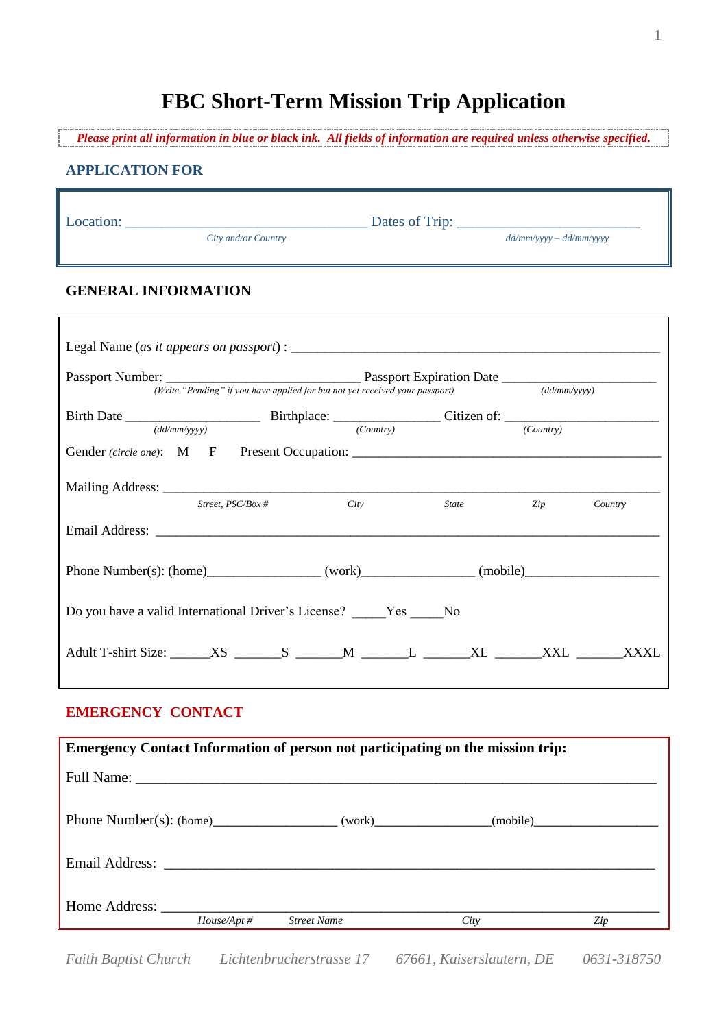# **FBC Short-Term Mission Trip Application**

*Please print all information in blue or black ink. All fields of information are required unless otherwise specified.*

### **APPLICATION FOR**

Location: \_\_\_\_\_\_\_\_\_\_\_\_\_\_\_\_\_\_\_\_\_\_\_\_\_\_\_\_\_\_\_\_\_ Dates of Trip: \_\_\_\_\_\_\_\_\_\_\_\_\_\_\_\_\_\_\_\_\_\_\_\_\_

*City and/or Country dd/mm/yyyy – dd/mm/yyyy*

#### **GENERAL INFORMATION**

|                                                                          |              |                      | (Write "Pending" if you have applied for but not yet received your passport) (dd/mm/yyyy) |                               |           |             |
|--------------------------------------------------------------------------|--------------|----------------------|-------------------------------------------------------------------------------------------|-------------------------------|-----------|-------------|
|                                                                          |              |                      |                                                                                           |                               |           |             |
|                                                                          | (dd/mm/vvvv) |                      | $\overline{(Country)}$                                                                    |                               | (Country) |             |
|                                                                          |              | Street, $PSC/Box \#$ | City                                                                                      | <i>State</i> and <i>State</i> | Zip       | Country     |
|                                                                          |              |                      |                                                                                           |                               |           |             |
|                                                                          |              |                      |                                                                                           |                               |           |             |
| Do you have a valid International Driver's License? Yes No               |              |                      |                                                                                           |                               |           |             |
| Adult T-shirt Size: XS _______ S ______ M _______ L ______ XL ______ XXL |              |                      |                                                                                           |                               |           | <b>XXXL</b> |

### **EMERGENCY CONTACT**

|               |                | <b>Emergency Contact Information of person not participating on the mission trip:</b> |      |     |
|---------------|----------------|---------------------------------------------------------------------------------------|------|-----|
|               |                |                                                                                       |      |     |
|               |                | Phone Number(s): $(home)$ (work) (work) (mobile)                                      |      |     |
|               |                |                                                                                       |      |     |
| Home Address: | $House/Apt \#$ | <b>Street Name</b>                                                                    | City | Zip |

*Faith Baptist Church Lichtenbrucherstrasse 17 67661, Kaiserslautern, DE 0631-318750*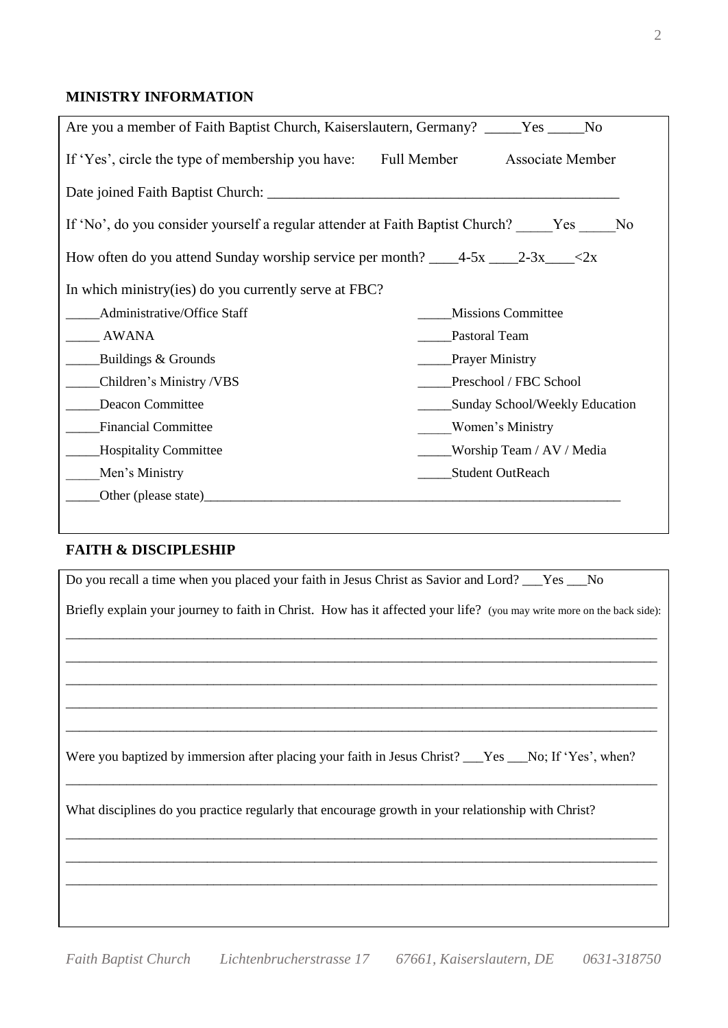# Date joined Faith Baptist Church: \_\_\_\_\_\_\_\_\_\_\_\_\_\_\_\_\_\_\_\_\_\_\_\_\_\_\_\_\_\_\_\_\_\_\_\_\_\_\_\_\_\_\_\_\_\_\_\_

**MINISTRY INFORMATION**

| If 'No', do you consider yourself a regular attender at Faith Baptist Church? Yes No |  |
|--------------------------------------------------------------------------------------|--|
|                                                                                      |  |

| How often do you attend Sunday worship service per month? _____4-5x _____2-3x_____<2x |  |  |
|---------------------------------------------------------------------------------------|--|--|
|                                                                                       |  |  |

Are you a member of Faith Baptist Church, Kaiserslautern, Germany? \_\_\_\_\_Yes \_\_\_\_\_No

If 'Yes', circle the type of membership you have: Full Member Associate Member

| Administrative/Office Staff  | <b>Missions Committee</b>      |
|------------------------------|--------------------------------|
| <b>AWANA</b>                 | Pastoral Team                  |
| Buildings & Grounds          | <b>Prayer Ministry</b>         |
| Children's Ministry /VBS     | Preschool / FBC School         |
| Deacon Committee             | Sunday School/Weekly Education |
| <b>Financial Committee</b>   | Women's Ministry               |
| <b>Hospitality Committee</b> | Worship Team / AV / Media      |
| Men's Ministry               | <b>Student OutReach</b>        |
| Other (please state)         |                                |
|                              |                                |

#### **FAITH & DISCIPLESHIP**

| Do you recall a time when you placed your faith in Jesus Christ as Savior and Lord? ___Yes ___No                       |
|------------------------------------------------------------------------------------------------------------------------|
| Briefly explain your journey to faith in Christ. How has it affected your life? (you may write more on the back side): |
|                                                                                                                        |
|                                                                                                                        |
|                                                                                                                        |
|                                                                                                                        |
| Were you baptized by immersion after placing your faith in Jesus Christ? ___Yes ___No; If 'Yes', when?                 |
| What disciplines do you practice regularly that encourage growth in your relationship with Christ?                     |
|                                                                                                                        |
|                                                                                                                        |
|                                                                                                                        |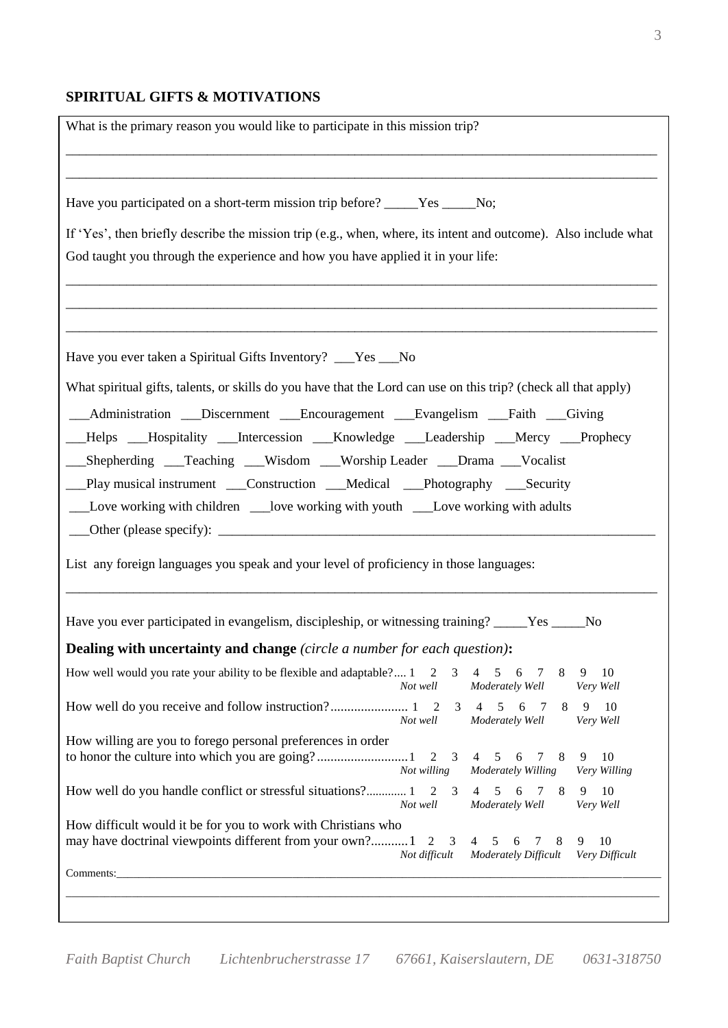# **SPIRITUAL GIFTS & MOTIVATIONS**

| What is the primary reason you would like to participate in this mission trip?                                                                      |                                                                                      |
|-----------------------------------------------------------------------------------------------------------------------------------------------------|--------------------------------------------------------------------------------------|
| Have you participated on a short-term mission trip before? _____Yes _____No;                                                                        |                                                                                      |
| If 'Yes', then briefly describe the mission trip (e.g., when, where, its intent and outcome). Also include what                                     |                                                                                      |
| God taught you through the experience and how you have applied it in your life:                                                                     |                                                                                      |
|                                                                                                                                                     |                                                                                      |
|                                                                                                                                                     |                                                                                      |
| Have you ever taken a Spiritual Gifts Inventory? ___Yes ___No                                                                                       |                                                                                      |
| What spiritual gifts, talents, or skills do you have that the Lord can use on this trip? (check all that apply)                                     |                                                                                      |
| __Administration __Discernment __Encouragement __Evangelism __Faith __Giving                                                                        |                                                                                      |
| Helps Hospitality __Intercession __Knowledge __Leadership __Mercy __Prophecy                                                                        |                                                                                      |
| __Shepherding __Teaching __Wisdom __Worship Leader __Drama __Vocalist                                                                               |                                                                                      |
| __Play musical instrument ___Construction ___Medical ___Photography ___Security                                                                     |                                                                                      |
|                                                                                                                                                     |                                                                                      |
|                                                                                                                                                     |                                                                                      |
| List any foreign languages you speak and your level of proficiency in those languages:                                                              |                                                                                      |
| Have you ever participated in evangelism, discipleship, or witnessing training? _____Yes _____No                                                    |                                                                                      |
| Dealing with uncertainty and change (circle a number for each question):                                                                            |                                                                                      |
| How well would you rate your ability to be flexible and adaptable? $1 \quad 2$<br>3<br>$\overline{4}$<br>Not well                                   | 8<br>10<br>5<br>6<br>7<br>9<br>Moderately Well<br>Very Well                          |
| Not well                                                                                                                                            | $3 \t 4 \t 5 \t 6$<br>9<br>10<br>8<br>$\overline{7}$<br>Moderately Well<br>Very Well |
| How willing are you to forego personal preferences in order<br>$2 \quad 3$<br>Not willing                                                           | 10<br>4 5<br>6<br>8<br>9<br>$7\phantom{0}$<br>Moderately Willing<br>Very Willing     |
| How well do you handle conflict or stressful situations? 1 2 3<br>4                                                                                 | 10<br>5<br>6<br>7<br>8<br>9<br>Moderately Well<br>Very Well                          |
| Not well                                                                                                                                            |                                                                                      |
| How difficult would it be for you to work with Christians who<br>may have doctrinal viewpoints different from your own?1<br>2<br>3<br>Not difficult | 10<br>4 5<br>9<br>6<br>7<br>8<br><b>Moderately Difficult</b><br>Very Difficult       |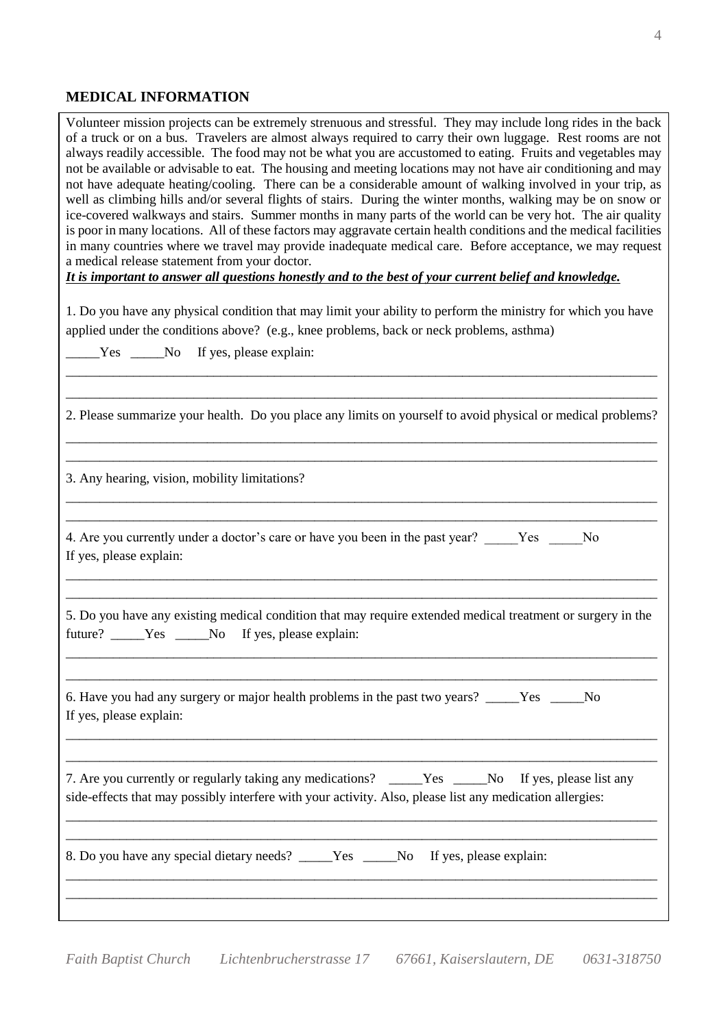### **MEDICAL INFORMATION**

Volunteer mission projects can be extremely strenuous and stressful. They may include long rides in the back of a truck or on a bus. Travelers are almost always required to carry their own luggage. Rest rooms are not always readily accessible. The food may not be what you are accustomed to eating. Fruits and vegetables may not be available or advisable to eat. The housing and meeting locations may not have air conditioning and may not have adequate heating/cooling. There can be a considerable amount of walking involved in your trip, as well as climbing hills and/or several flights of stairs. During the winter months, walking may be on snow or ice-covered walkways and stairs. Summer months in many parts of the world can be very hot. The air quality is poor in many locations. All of these factors may aggravate certain health conditions and the medical facilities in many countries where we travel may provide inadequate medical care. Before acceptance, we may request a medical release statement from your doctor.

*It is important to answer all questions honestly and to the best of your current belief and knowledge.*

1. Do you have any physical condition that may limit your ability to perform the ministry for which you have applied under the conditions above? (e.g., knee problems, back or neck problems, asthma)

\_\_\_\_\_\_\_\_\_\_\_\_\_\_\_\_\_\_\_\_\_\_\_\_\_\_\_\_\_\_\_\_\_\_\_\_\_\_\_\_\_\_\_\_\_\_\_\_\_\_\_\_\_\_\_\_\_\_\_\_\_\_\_\_\_\_\_\_\_\_\_\_\_\_\_\_\_\_\_\_\_\_\_\_\_\_\_\_

Yes \_\_\_\_\_No If yes, please explain:

| 2. Please summarize your health. Do you place any limits on yourself to avoid physical or medical problems?                                                                                                    |
|----------------------------------------------------------------------------------------------------------------------------------------------------------------------------------------------------------------|
| 3. Any hearing, vision, mobility limitations?                                                                                                                                                                  |
| 4. Are you currently under a doctor's care or have you been in the past year? Yes No<br>If yes, please explain:                                                                                                |
| 5. Do you have any existing medical condition that may require extended medical treatment or surgery in the<br>future? _____Yes _____No If yes, please explain:                                                |
| 6. Have you had any surgery or major health problems in the past two years? _____Yes _____No<br>If yes, please explain:                                                                                        |
| 7. Are you currently or regularly taking any medications? _____Yes _____No If yes, please list any<br>side-effects that may possibly interfere with your activity. Also, please list any medication allergies: |
| 8. Do you have any special dietary needs? _____Yes _____No If yes, please explain:                                                                                                                             |
|                                                                                                                                                                                                                |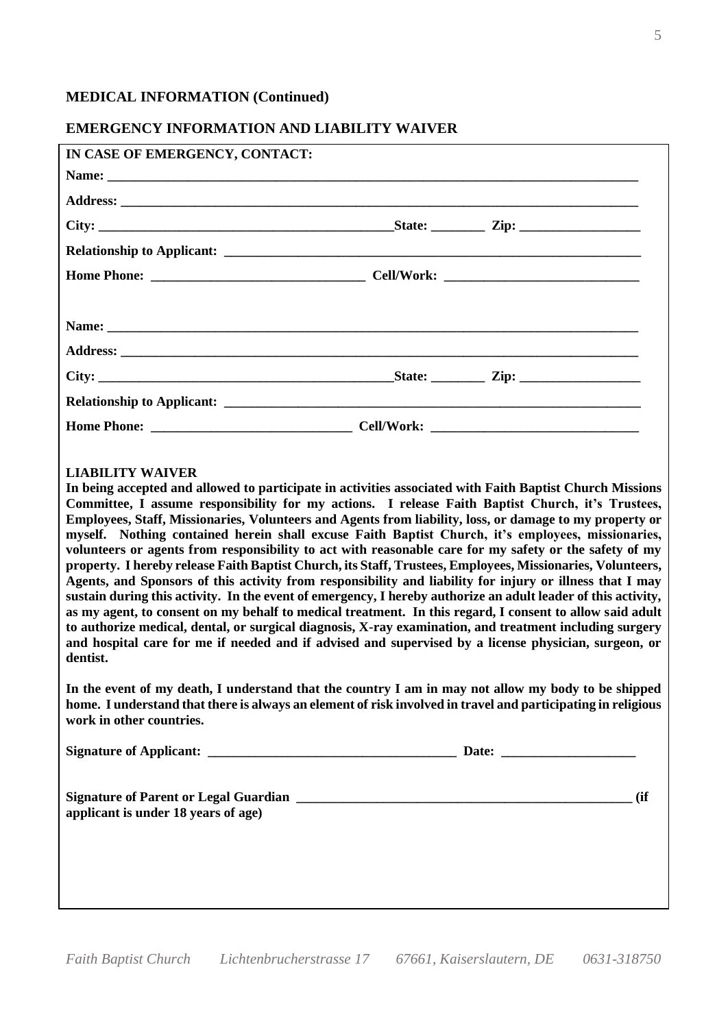#### **MEDICAL INFORMATION (Continued)**

#### **EMERGENCY INFORMATION AND LIABILITY WAIVER**

| IN CASE OF EMERGENCY, CONTACT: |  |
|--------------------------------|--|
|                                |  |
|                                |  |
|                                |  |
|                                |  |
|                                |  |
|                                |  |
|                                |  |
|                                |  |
|                                |  |
|                                |  |
|                                |  |

#### **LIABILITY WAIVER**

**In being accepted and allowed to participate in activities associated with Faith Baptist Church Missions Committee, I assume responsibility for my actions. I release Faith Baptist Church, it's Trustees, Employees, Staff, Missionaries, Volunteers and Agents from liability, loss, or damage to my property or myself. Nothing contained herein shall excuse Faith Baptist Church, it's employees, missionaries, volunteers or agents from responsibility to act with reasonable care for my safety or the safety of my property. I hereby release Faith Baptist Church, its Staff, Trustees, Employees, Missionaries, Volunteers, Agents, and Sponsors of this activity from responsibility and liability for injury or illness that I may sustain during this activity. In the event of emergency, I hereby authorize an adult leader of this activity, as my agent, to consent on my behalf to medical treatment. In this regard, I consent to allow said adult to authorize medical, dental, or surgical diagnosis, X-ray examination, and treatment including surgery and hospital care for me if needed and if advised and supervised by a license physician, surgeon, or dentist.** 

**In the event of my death, I understand that the country I am in may not allow my body to be shipped home. I understand that there is always an element of risk involved in travel and participating in religious work in other countries.** 

| <b>Signature of Applicant:</b> | Date |
|--------------------------------|------|
|                                |      |

Signature of Parent or Legal Guardian  $\qquad \qquad$  (if **applicant is under 18 years of age)**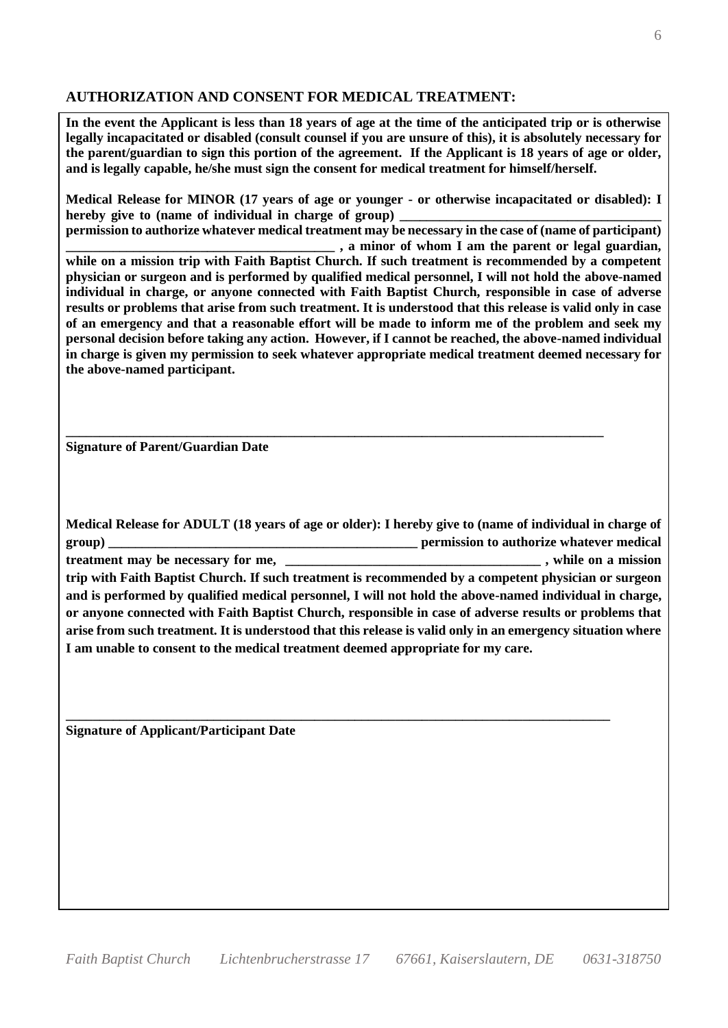## **AUTHORIZATION AND CONSENT FOR MEDICAL TREATMENT:**

**In the event the Applicant is less than 18 years of age at the time of the anticipated trip or is otherwise legally incapacitated or disabled (consult counsel if you are unsure of this), it is absolutely necessary for the parent/guardian to sign this portion of the agreement. If the Applicant is 18 years of age or older, and is legally capable, he/she must sign the consent for medical treatment for himself/herself.** 

**Medical Release for MINOR (17 years of age or younger - or otherwise incapacitated or disabled): I**  hereby give to (name of individual in charge of group)

**permission to authorize whatever medical treatment may be necessary in the case of (name of participant)**  , a minor of whom I am the parent or legal guardian, **while on a mission trip with Faith Baptist Church. If such treatment is recommended by a competent physician or surgeon and is performed by qualified medical personnel, I will not hold the above-named individual in charge, or anyone connected with Faith Baptist Church, responsible in case of adverse results or problems that arise from such treatment. It is understood that this release is valid only in case of an emergency and that a reasonable effort will be made to inform me of the problem and seek my personal decision before taking any action. However, if I cannot be reached, the above-named individual in charge is given my permission to seek whatever appropriate medical treatment deemed necessary for the above-named participant.**

**\_\_\_\_\_\_\_\_\_\_\_\_\_\_\_\_\_\_\_\_\_\_\_\_\_\_\_\_\_\_\_\_\_\_\_\_\_\_\_\_\_\_\_\_\_\_\_\_\_\_\_\_\_\_\_\_\_\_\_\_\_\_\_\_\_\_\_\_\_\_\_\_\_\_\_\_\_\_\_\_**

**Signature of Parent/Guardian Date** 

**Medical Release for ADULT (18 years of age or older): I hereby give to (name of individual in charge of group) \_\_\_\_\_\_\_\_\_\_\_\_\_\_\_\_\_\_\_\_\_\_\_\_\_\_\_\_\_\_\_\_\_\_\_\_\_\_\_\_\_\_\_\_\_\_ permission to authorize whatever medical treatment may be necessary for me, \_\_\_\_\_\_\_\_\_\_\_\_\_\_\_\_\_\_\_\_\_\_\_\_\_\_\_\_\_\_\_\_\_\_\_\_\_\_ , while on a mission trip with Faith Baptist Church. If such treatment is recommended by a competent physician or surgeon and is performed by qualified medical personnel, I will not hold the above-named individual in charge, or anyone connected with Faith Baptist Church, responsible in case of adverse results or problems that arise from such treatment. It is understood that this release is valid only in an emergency situation where I am unable to consent to the medical treatment deemed appropriate for my care.** 

**\_\_\_\_\_\_\_\_\_\_\_\_\_\_\_\_\_\_\_\_\_\_\_\_\_\_\_\_\_\_\_\_\_\_\_\_\_\_\_\_\_\_\_\_\_\_\_\_\_\_\_\_\_\_\_\_\_\_\_\_\_\_\_\_\_\_\_\_\_\_\_\_\_\_\_\_\_\_\_\_\_** 

**Signature of Applicant/Participant Date**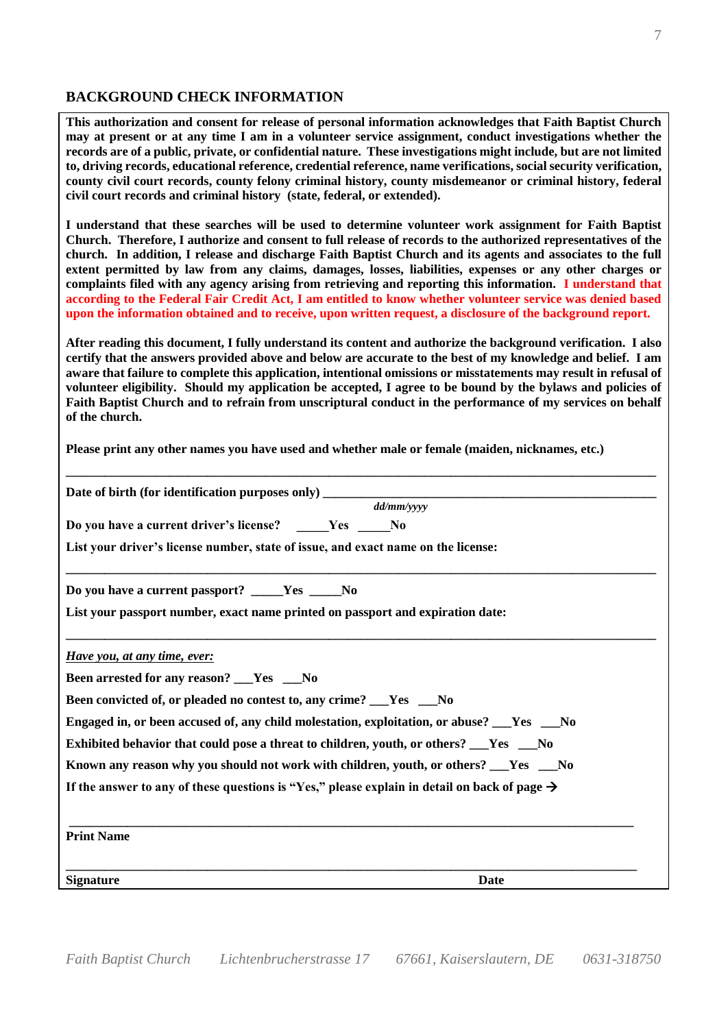## **BACKGROUND CHECK INFORMATION**

**This authorization and consent for release of personal information acknowledges that Faith Baptist Church may at present or at any time I am in a volunteer service assignment, conduct investigations whether the records are of a public, private, or confidential nature. These investigations might include, but are not limited to, driving records, educational reference, credential reference, name verifications, social security verification, county civil court records, county felony criminal history, county misdemeanor or criminal history, federal civil court records and criminal history (state, federal, or extended).** 

**I understand that these searches will be used to determine volunteer work assignment for Faith Baptist Church. Therefore, I authorize and consent to full release of records to the authorized representatives of the church. In addition, I release and discharge Faith Baptist Church and its agents and associates to the full extent permitted by law from any claims, damages, losses, liabilities, expenses or any other charges or complaints filed with any agency arising from retrieving and reporting this information. I understand that according to the Federal Fair Credit Act, I am entitled to know whether volunteer service was denied based upon the information obtained and to receive, upon written request, a disclosure of the background report.** 

**After reading this document, I fully understand its content and authorize the background verification. I also certify that the answers provided above and below are accurate to the best of my knowledge and belief. I am aware that failure to complete this application, intentional omissions or misstatements may result in refusal of volunteer eligibility. Should my application be accepted, I agree to be bound by the bylaws and policies of Faith Baptist Church and to refrain from unscriptural conduct in the performance of my services on behalf of the church.** 

**Please print any other names you have used and whether male or female (maiden, nicknames, etc.)** 

| Date of birth (for identification purposes only) __________                                              |  |
|----------------------------------------------------------------------------------------------------------|--|
| dd/mm/vvvv                                                                                               |  |
| Do you have a current driver's license? Yes No                                                           |  |
| List your driver's license number, state of issue, and exact name on the license:                        |  |
| Do you have a current passport? _____Yes _____No                                                         |  |
| List your passport number, exact name printed on passport and expiration date:                           |  |
| Have you, at any time, ever:                                                                             |  |
| Been arrested for any reason? ___Yes ___No                                                               |  |
| Been convicted of, or pleaded no contest to, any crime? __Yes __No                                       |  |
| Engaged in, or been accused of, any child molestation, exploitation, or abuse? __Yes __No                |  |
| Exhibited behavior that could pose a threat to children, youth, or others? __Yes __No                    |  |
| Known any reason why you should not work with children, youth, or others? ___Yes ___No                   |  |
| If the answer to any of these questions is "Yes," please explain in detail on back of page $\rightarrow$ |  |
|                                                                                                          |  |
| <b>Print Name</b>                                                                                        |  |
| <b>Signature</b><br>Date                                                                                 |  |